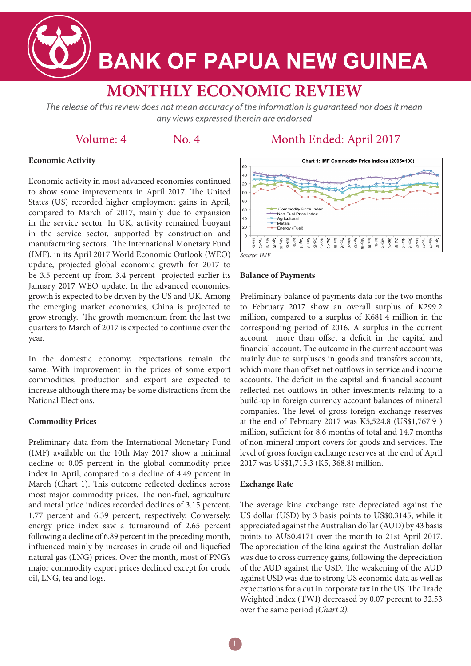

# **BANK OF PAPUA NEW GUINEA**

# **MONTHLY ECONOMIC REVIEW**

The release of this review does not mean accuracy of the information is guaranteed nor does it mean any views expressed therein are endorsed

### Volume: 4

No. 4

## Month Ended: April 2017

#### **Economic Activity**

Economic activity in most advanced economies continued to show some improvements in April 2017. The United States (US) recorded higher employment gains in April, compared to March of 2017, mainly due to expansion in the service sector. In UK, activity remained buoyant in the service sector, supported by construction and manufacturing sectors. The International Monetary Fund (IMF), in its April 2017 World Economic Outlook (WEO) update, projected global economic growth for 2017 to be 3.5 percent up from 3.4 percent projected earlier its January 2017 WEO update. In the advanced economies, growth is expected to be driven by the US and UK. Among the emerging market economies, China is projected to grow strongly. The growth momentum from the last two quarters to March of 2017 is expected to continue over the year.

In the domestic economy, expectations remain the same. With improvement in the prices of some export commodities, production and export are expected to increase although there may be some distractions from the National Elections.

#### **Commodity Prices**

Preliminary data from the International Monetary Fund (IMF) available on the 10th May 2017 show a minimal decline of 0.05 percent in the global commodity price index in April, compared to a decline of 4.49 percent in March (Chart 1). This outcome reflected declines across most major commodity prices. The non-fuel, agriculture and metal price indices recorded declines of 3.15 percent, 1.77 percent and 6.39 percent, respectively. Conversely, energy price index saw a turnaround of 2.65 percent following a decline of 6.89 percent in the preceding month, influenced mainly by increases in crude oil and liquefied natural gas (LNG) prices. Over the month, most of PNG's major commodity export prices declined except for crude oil, LNG, tea and logs.



#### **Balance of Payments**

Preliminary balance of payments data for the two months to February 2017 show an overall surplus of K299.2 million, compared to a surplus of K681.4 million in the corresponding period of 2016. A surplus in the current account more than offset a deficit in the capital and financial account. The outcome in the current account was mainly due to surpluses in goods and transfers accounts, which more than offset net outflows in service and income accounts. The deficit in the capital and financial account reflected net outflows in other investments relating to a build-up in foreign currency account balances of mineral companies. The level of gross foreign exchange reserves at the end of February 2017 was K5,524.8 (US\$1,767.9 ) million, sufficient for 8.6 months of total and 14.7 months of non-mineral import covers for goods and services. The level of gross foreign exchange reserves at the end of April 2017 was US\$1,715.3 (K5, 368.8) million.

#### **Exchange Rate**

The average kina exchange rate depreciated against the US dollar (USD) by 3 basis points to US\$0.3145, while it appreciated against the Australian dollar (AUD) by 43 basis points to AU\$0.4171 over the month to 21st April 2017. The appreciation of the kina against the Australian dollar was due to cross currency gains, following the depreciation of the AUD against the USD. The weakening of the AUD against USD was due to strong US economic data as well as expectations for a cut in corporate tax in the US. The Trade Weighted Index (TWI) decreased by 0.07 percent to 32.53 over the same period *(Chart 2).*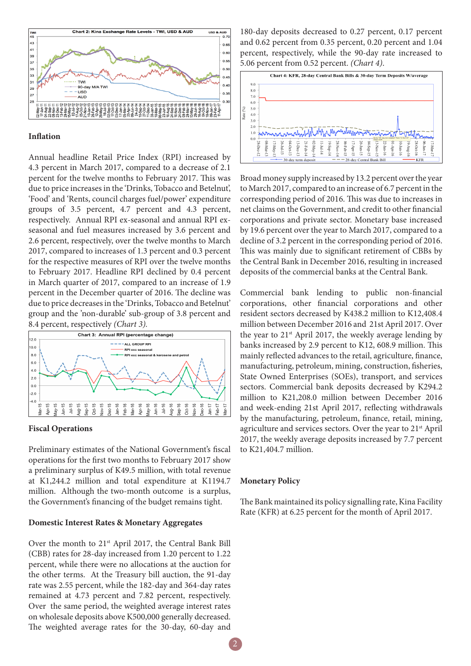

#### **Inflation**

Annual headline Retail Price Index (RPI) increased by 4.3 percent in March 2017, compared to a decrease of 2.1 percent for the twelve months to February 2017. This was due to price increases in the 'Drinks, Tobacco and Betelnut', 'Food' and 'Rents, council charges fuel/power' expenditure groups of 3.5 percent, 4.7 percent and 4.3 percent, respectively. Annual RPI ex-seasonal and annual RPI exseasonal and fuel measures increased by 3.6 percent and 2.6 percent, respectively, over the twelve months to March 2017, compared to increases of 1.3 percent and 0.3 percent for the respective measures of RPI over the twelve months to February 2017. Headline RPI declined by 0.4 percent in March quarter of 2017, compared to an increase of 1.9 percent in the December quarter of 2016. The decline was due to price decreases in the 'Drinks, Tobacco and Betelnut' group and the 'non-durable' sub-group of 3.8 percent and 8.4 percent, respectively *(Chart 3).*



#### **Fiscal Operations**

Preliminary estimates of the National Government's fiscal operations for the first two months to February 2017 show a preliminary surplus of K49.5 million, with total revenue at K1,244.2 million and total expenditure at K1194.7 million. Although the two-month outcome is a surplus, the Government's financing of the budget remains tight.

#### **Domestic Interest Rates & Monetary Aggregates**

Over the month to 21<sup>st</sup> April 2017, the Central Bank Bill (CBB) rates for 28-day increased from 1.20 percent to 1.22 percent, while there were no allocations at the auction for the other terms. At the Treasury bill auction, the 91-day rate was 2.55 percent, while the 182-day and 364-day rates remained at 4.73 percent and 7.82 percent, respectively. Over the same period, the weighted average interest rates on wholesale deposits above K500,000 generally decreased. The weighted average rates for the 30-day, 60-day and

180-day deposits decreased to 0.27 percent, 0.17 percent and 0.62 percent from 0.35 percent, 0.20 percent and 1.04 percent, respectively, while the 90-day rate increased to 5.06 percent from 0.52 percent. *(Chart 4)*.



Broad money supply increased by 13.2 percent over the year to March 2017, compared to an increase of 6.7 percent in the corresponding period of 2016. This was due to increases in net claims on the Government, and credit to other financial corporations and private sector. Monetary base increased by 19.6 percent over the year to March 2017, compared to a decline of 3.2 percent in the corresponding period of 2016. This was mainly due to significant retirement of CBBs by the Central Bank in December 2016, resulting in increased deposits of the commercial banks at the Central Bank.

Commercial bank lending to public non-financial corporations, other financial corporations and other resident sectors decreased by K438.2 million to K12,408.4 million between December 2016 and 21st April 2017. Over the year to  $21<sup>st</sup>$  April 2017, the weekly average lending by banks increased by 2.9 percent to K12, 608.9 million. This mainly reflected advances to the retail, agriculture, finance, manufacturing, petroleum, mining, construction, fisheries, State Owned Enterprises (SOEs), transport, and services sectors. Commercial bank deposits decreased by K294.2 million to K21,208.0 million between December 2016 and week-ending 21st April 2017, reflecting withdrawals by the manufacturing, petroleum, finance, retail, mining, agriculture and services sectors. Over the year to 21st April 2017, the weekly average deposits increased by 7.7 percent to K21,404.7 million.

#### **Monetary Policy**

The Bank maintained its policy signalling rate, Kina Facility Rate (KFR) at 6.25 percent for the month of April 2017.